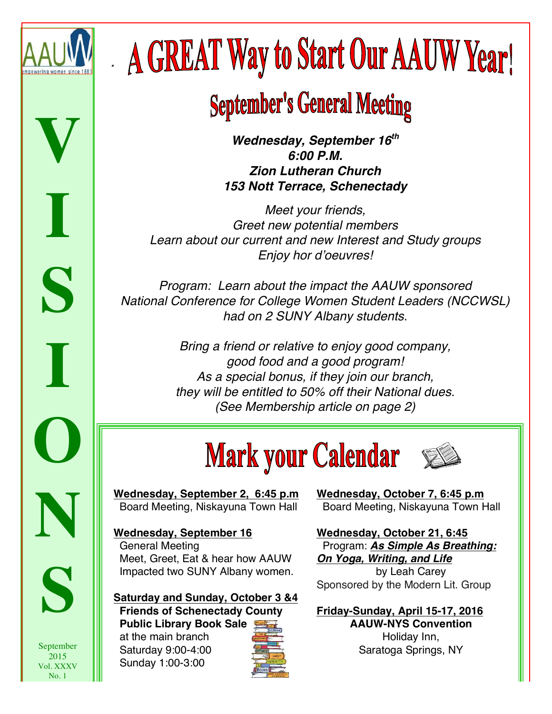

**V**

**I**

**S**

**I**

**O**

**N**

**S**

September 2015 Vol. XXXV No. 1

 $x \in \mathbb{R}^n$ 

# **A GREAT Way to Start Our AAUW Year!**

# **September's General Meeting**

*Wednesday, September 16th 6:00 P.M. Zion Lutheran Church 153 Nott Terrace, Schenectady*

*Meet your friends, Greet new potential members Learn about our current and new Interest and Study groups Enjoy hor d'oeuvres!*

*Program: Learn about the impact the AAUW sponsored National Conference for College Women Student Leaders (NCCWSL) had on 2 SUNY Albany students.*

> *Bring a friend or relative to enjoy good company, good food and a good program! As a special bonus, if they join our branch, they will be entitled to 50% off their National dues. (See Membership article on page 2)*

# **Mark your Calendar**



**Wednesday, September 2, 6:45 p.m** Board Meeting, Niskayuna Town Hall

**Wednesday, September 16** General Meeting Meet, Greet, Eat & hear how AAUW Impacted two SUNY Albany women.

**Saturday and Sunday, October 3 &4 Friends of Schenectady County Public Library Book Sale** at the main branch

 Saturday 9:00-4:00 Sunday 1:00-3:00



**Wednesday, October 7, 6:45 p.m** Board Meeting, Niskayuna Town Hall

**Wednesday, October 21, 6:45** Program: *As Simple As Breathing: On Yoga, Writing, and Life* by Leah Carey Sponsored by the Modern Lit. Group

**Friday-Sunday, April 15-17, 2016 AAUW-NYS Convention** Holiday Inn, Saratoga Springs, NY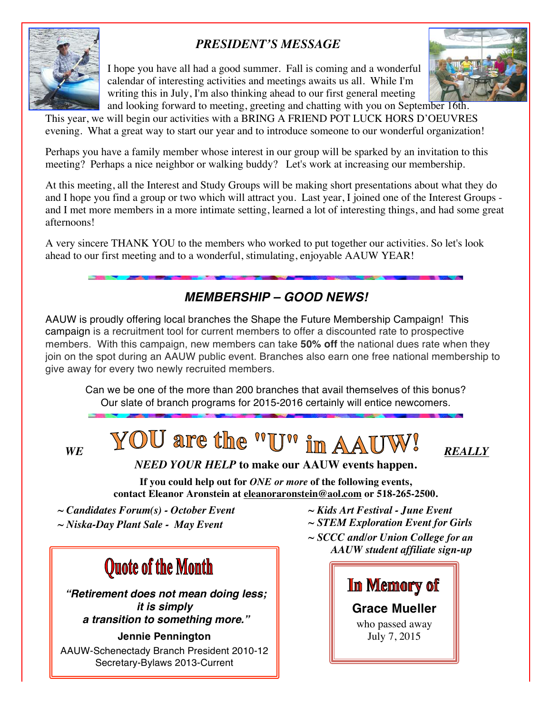### *PRESIDENT'S MESSAGE*



I hope you have all had a good summer. Fall is coming and a wonderful calendar of interesting activities and meetings awaits us all. While I'm writing this in July, I'm also thinking ahead to our first general meeting and looking forward to meeting, greeting and chatting with you on September 16th.



This year, we will begin our activities with a BRING A FRIEND POT LUCK HORS D'OEUVRES evening. What a great way to start our year and to introduce someone to our wonderful organization!

Perhaps you have a family member whose interest in our group will be sparked by an invitation to this meeting? Perhaps a nice neighbor or walking buddy? Let's work at increasing our membership.

At this meeting, all the Interest and Study Groups will be making short presentations about what they do and I hope you find a group or two which will attract you. Last year, I joined one of the Interest Groups and I met more members in a more intimate setting, learned a lot of interesting things, and had some great afternoons!

A very sincere THANK YOU to the members who worked to put together our activities. So let's look ahead to our first meeting and to a wonderful, stimulating, enjoyable AAUW YEAR!

### *MEMBERSHIP – GOOD NEWS!*

AAUW is proudly offering local branches the Shape the Future Membership Campaign! This campaign is a recruitment tool for current members to offer a discounted rate to prospective members. With this campaign, new members can take **50% off** the national dues rate when they join on the spot during an AAUW public event. Branches also earn one free national membership to give away for every two newly recruited members.

Can we be one of the more than 200 branches that avail themselves of this bonus? Our slate of branch programs for 2015-2016 certainly will entice newcomers.

# WE YOU are the "U" im AAUW! REALLY

*NEED YOUR HELP* **to make our AAUW events happen.**

**If you could help out for** *ONE or more* **of the following events, contact Eleanor Aronstein at eleanoraronstein@aol.com or 518-265-2500.**

*~ Candidates Forum(s) - October Event ~ Niska-Day Plant Sale - May Event*

# **Quote of the Month**

*"Retirement does not mean doing less; it is simply a transition to something more."*

**Jennie Pennington** AAUW-Schenectady Branch President 2010-12 Secretary-Bylaws 2013-Current

*~ Kids Art Festival - June Event ~ STEM Exploration Event for Girls ~ SCCC and/or Union College for an* *AAUW student affiliate sign-up*

# In Memory of

**Grace Mueller** who passed away July 7, 2015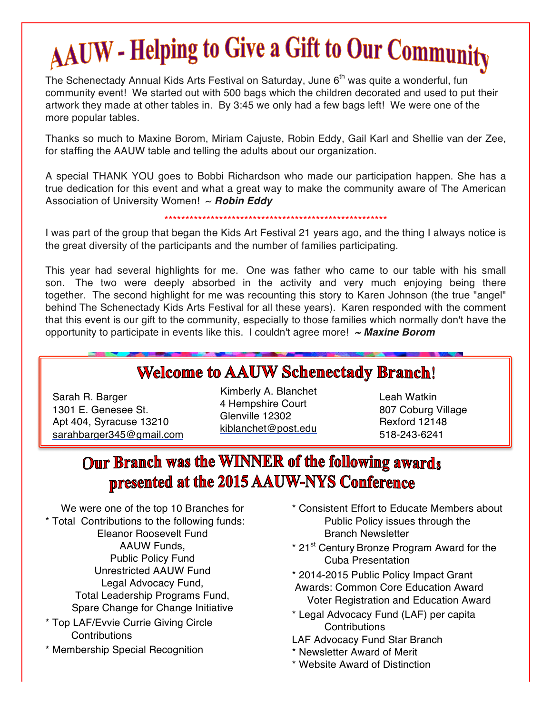# **AAUW** - Helping to Give a Gift to Our Community

The Schenectady Annual Kids Arts Festival on Saturday, June  $6<sup>th</sup>$  was quite a wonderful, fun community event! We started out with 500 bags which the children decorated and used to put their artwork they made at other tables in. By 3:45 we only had a few bags left! We were one of the more popular tables.

Thanks so much to Maxine Borom, Miriam Cajuste, Robin Eddy, Gail Karl and Shellie van der Zee, for staffing the AAUW table and telling the adults about our organization.

A special THANK YOU goes to Bobbi Richardson who made our participation happen. She has a true dedication for this event and what a great way to make the community aware of The American Association of University Women! ~ *Robin Eddy*

### \*\*\*\*\*\*\*\*\*\*\*\*\*\*\*\*\*\*\*\*\*\*\*\*\*\*\*\*\*\*\*\*\*\*\*\*\*\*\*\*\*\*\*\*\*\*\*\*\*\*\*\*\*

I was part of the group that began the Kids Art Festival 21 years ago, and the thing I always notice is the great diversity of the participants and the number of families participating.

This year had several highlights for me. One was father who came to our table with his small son. The two were deeply absorbed in the activity and very much enjoying being there together. The second highlight for me was recounting this story to Karen Johnson (the true "angel" behind The Schenectady Kids Arts Festival for all these years). Karen responded with the comment that this event is our gift to the community, especially to those families which normally don't have the opportunity to participate in events like this. I couldn't agree more! *~ Maxine Borom*

## **Welcome to AAUW Schenectady Branch!**

Sarah R. Barger 1301 E. Genesee St. Apt 404, Syracuse 13210 sarahbarger345@gmail.com

 Kimberly A. Blanchet 4 Hempshire Court Glenville 12302 kiblanchet@post.edu

Leah Watkin 807 Coburg Village Rexford 12148 518-243-6241

## Our Branch was the WINNER of the following awards presented at the 2015 AAUW-NYS Conference

We were one of the top 10 Branches for \* Total Contributions to the following funds: Eleanor Roosevelt Fund AAUW Funds, Public Policy Fund Unrestricted AAUW Fund Legal Advocacy Fund, Total Leadership Programs Fund, Spare Change for Change Initiative \* Top LAF/Evvie Currie Giving Circle **Contributions** 

\* Membership Special Recognition

- \* Consistent Effort to Educate Members about Public Policy issues through the Branch Newsletter
- \* 21<sup>st</sup> Century Bronze Program Award for the Cuba Presentation
- \* 2014-2015 Public Policy Impact Grant Awards: Common Core Education Award Voter Registration and Education Award
- \* Legal Advocacy Fund (LAF) per capita **Contributions**
- LAF Advocacy Fund Star Branch
- \* Newsletter Award of Merit
- \* Website Award of Distinction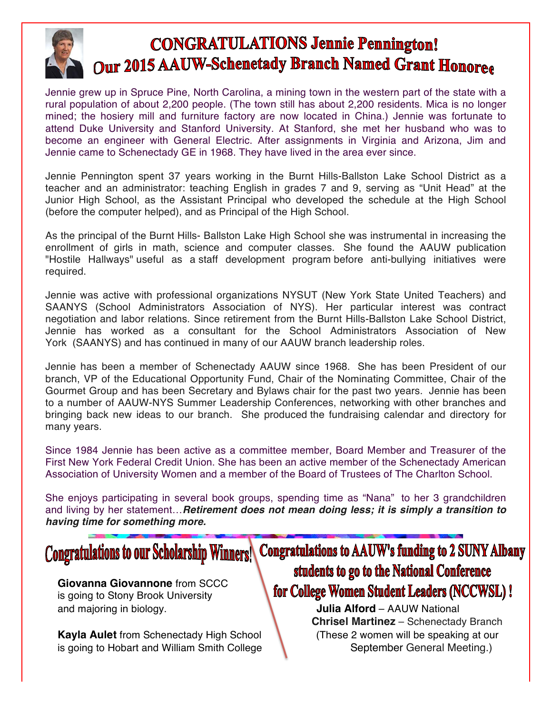

## **CONGRATULATIONS Jennie Pennington! Our 2015 AAUW-Schenetady Branch Named Grant Honoree**

Jennie grew up in Spruce Pine, North Carolina, a mining town in the western part of the state with a rural population of about 2,200 people. (The town still has about 2,200 residents. Mica is no longer mined; the hosiery mill and furniture factory are now located in China.) Jennie was fortunate to attend Duke University and Stanford University. At Stanford, she met her husband who was to become an engineer with General Electric. After assignments in Virginia and Arizona, Jim and Jennie came to Schenectady GE in 1968. They have lived in the area ever since.

Jennie Pennington spent 37 years working in the Burnt Hills-Ballston Lake School District as a teacher and an administrator: teaching English in grades 7 and 9, serving as "Unit Head" at the Junior High School, as the Assistant Principal who developed the schedule at the High School (before the computer helped), and as Principal of the High School.

As the principal of the Burnt Hills- Ballston Lake High School she was instrumental in increasing the enrollment of girls in math, science and computer classes. She found the AAUW publication "Hostile Hallways" useful as a staff development program before anti-bullying initiatives were required.

Jennie was active with professional organizations NYSUT (New York State United Teachers) and SAANYS (School Administrators Association of NYS). Her particular interest was contract negotiation and labor relations. Since retirement from the Burnt Hills-Ballston Lake School District, Jennie has worked as a consultant for the School Administrators Association of New York (SAANYS) and has continued in many of our AAUW branch leadership roles.

Jennie has been a member of Schenectady AAUW since 1968. She has been President of our branch, VP of the Educational Opportunity Fund, Chair of the Nominating Committee, Chair of the Gourmet Group and has been Secretary and Bylaws chair for the past two years. Jennie has been to a number of AAUW-NYS Summer Leadership Conferences, networking with other branches and bringing back new ideas to our branch. She produced the fundraising calendar and directory for many years.

Since 1984 Jennie has been active as a committee member, Board Member and Treasurer of the First New York Federal Credit Union. She has been an active member of the Schenectady American Association of University Women and a member of the Board of Trustees of The Charlton School.

She enjoys participating in several book groups, spending time as "Nana" to her 3 grandchildren and living by her statement…*Retirement does not mean doing less; it is simply a transition to having time for something more.*

# **Congratulations to our Scholarship Winners!**

**Giovanna Giovannone** from SCCC is going to Stony Brook University and majoring in biology. **Julia Alford** – AAUW National

**Kayla Aulet** from Schenectady High School (These 2 women will be speaking at our is going to Hobart and William Smith College  $\blacksquare$  September General Meeting.)

**Congratulations to AAUW's funding to 2 SUNY Albany** students to go to the National Conference for College Women Student Leaders (NCCWSL)!

 **Chrisel Martinez** – Schenectady Branch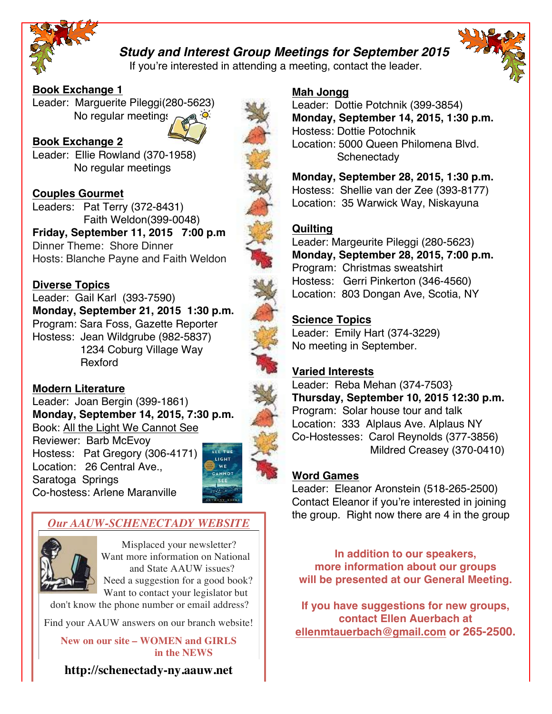

### *Study and Interest Group Meetings for September 2015*

If you're interested in attending a meeting, contact the leader.



#### **Book Exchange 1**

Leader: Marguerite Pileggi(280-5623) No regular meetings

#### **Book Exchange 2**

Leader: Ellie Rowland (370-1958) No regular meetings

#### **Couples Gourmet**

Leaders: Pat Terry (372-8431) Faith Weldon(399-0048)

**Friday, September 11, 2015 7:00 p.m** Dinner Theme: Shore Dinner Hosts: Blanche Payne and Faith Weldon

#### **Diverse Topics**

Leader: Gail Karl (393-7590) **Monday, September 21, 2015 1:30 p.m.** Program: Sara Foss, Gazette Reporter Hostess: Jean Wildgrube (982-5837) 1234 Coburg Village Way Rexford

#### **Modern Literature**

Leader: Joan Bergin (399-1861) **Monday, September 14, 2015, 7:30 p.m.** Book: All the Light We Cannot See Reviewer: Barb McEvoy Hostess: Pat Gregory (306-4171) Location: 26 Central Ave., Saratoga Springs Co-hostess: Arlene Maranville



#### *Our AAUW-SCHENECTADY WEBSITE*



 Misplaced your newsletter? Want more information on National and State AAUW issues? Need a suggestion for a good book?

 Want to contact your legislator but don't know the phone number or email address?

Find your AAUW answers on our branch website!

**New on our site – WOMEN and GIRLS in the NEWS**

**http://schenectady-ny.aauw.net**

#### **Mah Jongg**

Leader: Dottie Potchnik (399-3854) **Monday, September 14, 2015, 1:30 p.m.** Hostess: Dottie Potochnik Location: 5000 Queen Philomena Blvd. **Schenectady** 

**Monday, September 28, 2015, 1:30 p.m.** Hostess: Shellie van der Zee (393-8177) Location: 35 Warwick Way, Niskayuna

#### **Quilting**

Leader: Margeurite Pileggi (280-5623) **Monday, September 28, 2015, 7:00 p.m.** Program: Christmas sweatshirt Hostess: Gerri Pinkerton (346-4560) Location: 803 Dongan Ave, Scotia, NY

#### **Science Topics**

Leader: Emily Hart (374-3229) No meeting in September.

#### **Varied Interests**

Leader: Reba Mehan (374-7503} **Thursday, September 10, 2015 12:30 p.m.** Program: Solar house tour and talk Location: 333 Alplaus Ave. Alplaus NY Co-Hostesses: Carol Reynolds (377-3856) Mildred Creasey (370-0410)

#### **Word Games**

Leader: Eleanor Aronstein (518-265-2500) Contact Eleanor if you're interested in joining the group. Right now there are 4 in the group

**In addition to our speakers, more information about our groups will be presented at our General Meeting.**

**If you have suggestions for new groups, contact Ellen Auerbach at ellenmtauerbach@gmail.com or 265-2500.**